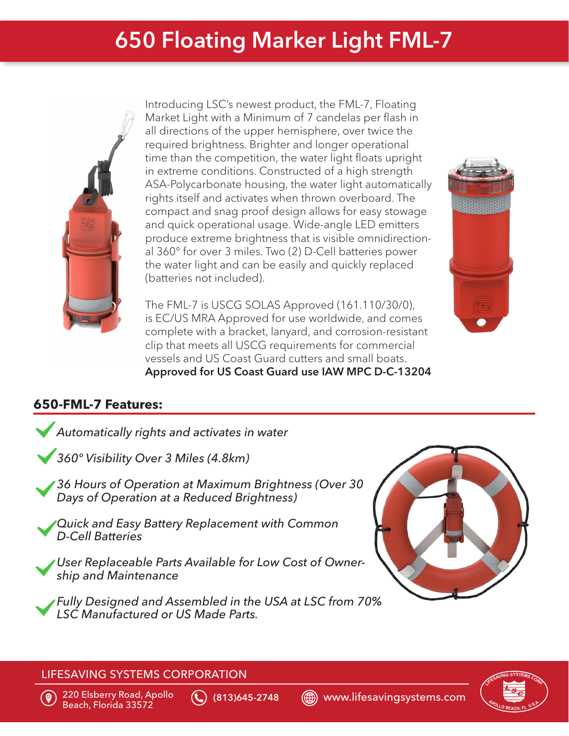## 650 Floating Marker Light FML-7



Introducing LSC's newest product, the FML-7, Floating Market Light with a Minimum of 7 candelas per flash in all directions of the upper hemisphere, over twice the required brightness. Brighter and longer operational time than the competition, the water light floats upright in extreme conditions. Constructed of a high strength ASA-Polycarbonate housing, the water light automatically rights itself and activates when thrown overboard. The compact and snag proof design allows for easy stowage and quick operational usage. Wide-angle LED emitters produce extreme brightness that is visible omnidirectional 360° for over 3 miles. Two (2) D-Cell batteries power the water light and can be easily and quickly replaced (batteries not included).



The FML-7 is USCG SOLAS Approved (161.110/30/0), is EC/US MRA Approved for use worldwide, and comes complete with a bracket, lanyard, and corrosion-resistant clip that meets all USCG requirements for commercial vessels and US Coast Guard cutters and small boats. Approved for US Coast Guard use IAW MPC D-C-13204

## **650-FML-7 Features:**





#### LIFESAVING SYSTEMS CORPORATION



220 Elsberry Road, Apollo

 $\left(\bigodot\right)$  (813)645-2748  $\quad$   $\textcircled{\tiny{\textcircled{\tiny{\textcirc}}}}$  www.lifesavingsystems.com